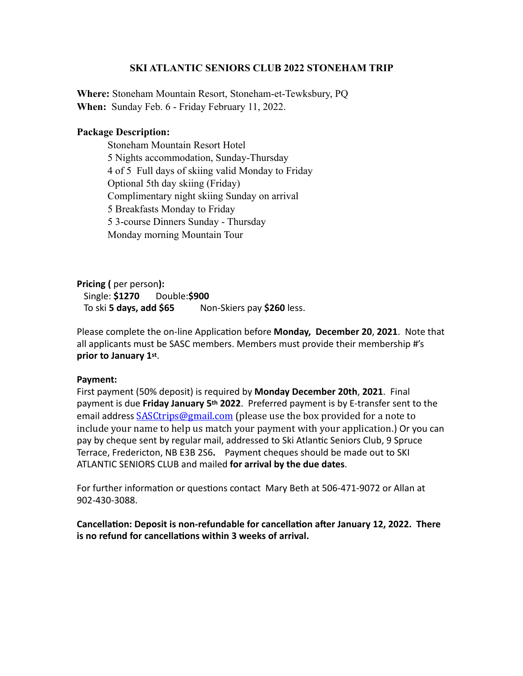# **SKI ATLANTIC SENIORS CLUB 2022 STONEHAM TRIP**

**Where:** Stoneham Mountain Resort, Stoneham-et-Tewksbury, PQ **When:** Sunday Feb. 6 - Friday February 11, 2022.

# **Package Description:**

Stoneham Mountain Resort Hotel 5 Nights accommodation, Sunday-Thursday 4 of 5 Full days of skiing valid Monday to Friday Optional 5th day skiing (Friday) Complimentary night skiing Sunday on arrival 5 Breakfasts Monday to Friday 5 3-course Dinners Sunday - Thursday Monday morning Mountain Tour

**Pricing** ( per person): Single: **\$1270** Double:**\$900** To ski **5 days, add \$65** Non-Skiers pay \$260 less.

Please complete the on-line Application before **Monday, December 20, 2021**. Note that all applicants must be SASC members. Members must provide their membership #'s prior to January 1st.

## Payment:

First payment (50% deposit) is required by **Monday December 20th, 2021**. Final payment is due Friday January 5<sup>th</sup> 2022. Preferred payment is by E-transfer sent to the email address **[SASCtrips@gmail.com](mailto:SASCtrips@gmail.com)** (please use the box provided for a note to include your name to help us match your payment with your application.) Or you can pay by cheque sent by regular mail, addressed to Ski Atlantic Seniors Club, 9 Spruce Terrace, Fredericton, NB E3B 2S6. Payment cheques should be made out to SKI ATLANTIC SENIORS CLUB and mailed for arrival by the due dates.

For further information or questions contact Mary Beth at 506-471-9072 or Allan at 902-430-3088. 

Cancellation: Deposit is non-refundable for cancellation after January 12, 2022. There is no refund for cancellations within 3 weeks of arrival.